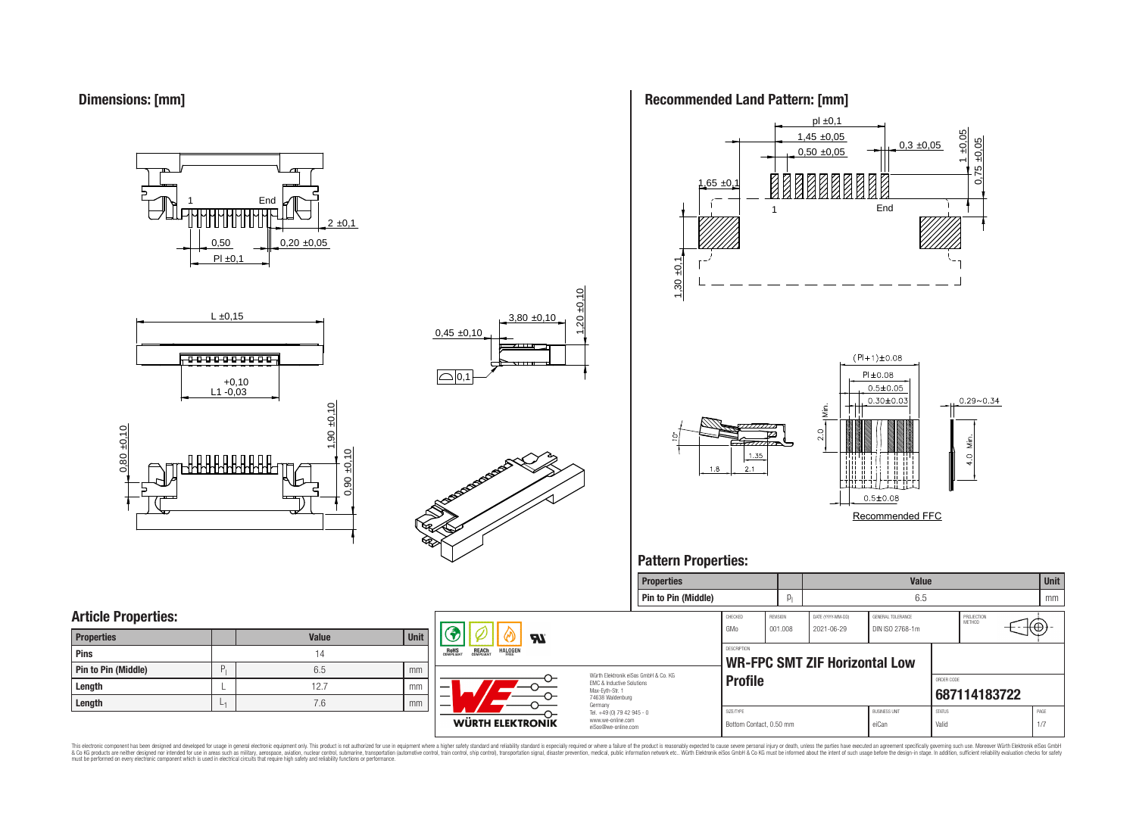**Dimensions: [mm]**

0,50  $PI \pm 0.1$  $0,20 \pm 0,05$  $2 \pm 0,1$ **End** 







### **Recommended Land Pattern: [mm]**



### **Pattern Properties:**



This electronic component has been designed and developed for usage in general electronic equipment only. This product is not authorized for use in equipment where a higher safely standard and reliability standard si espec & Ook product a label and the membed of the seasuch as marked and as which such a membed and the such assume that income in the seasuch and the simulation and the such assume that include to the such a membed and the such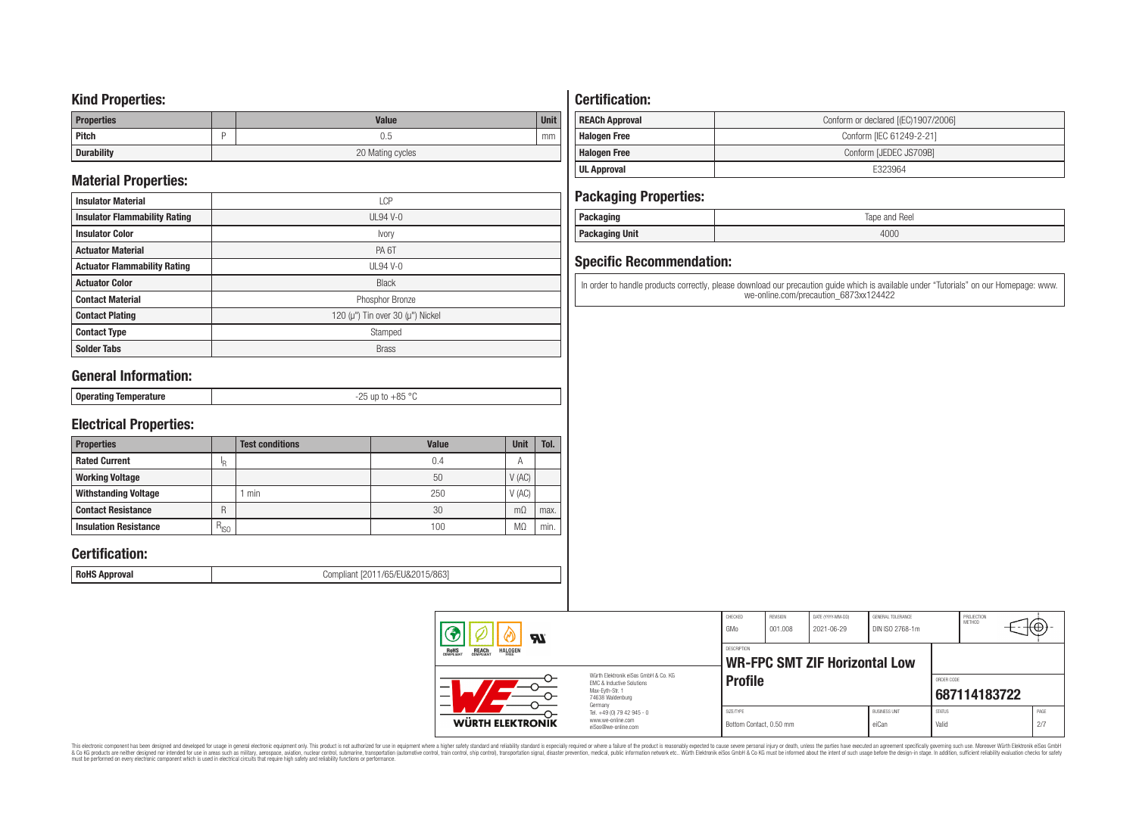### **Kind Properties:**

| <b>Properties</b> | <b>Value</b>     | <b>Unit</b> |  |  |  |
|-------------------|------------------|-------------|--|--|--|
| Pitch             | U.5              | mm          |  |  |  |
| <b>Durability</b> | 20 Mating cycles |             |  |  |  |

## **Material Properties:**

| <b>Insulator Material</b>            | <b>LCP</b>                                   |  |  |  |  |  |
|--------------------------------------|----------------------------------------------|--|--|--|--|--|
| <b>Insulator Flammability Rating</b> | $UL94$ V-0                                   |  |  |  |  |  |
| <b>Insulator Color</b>               | Ivory                                        |  |  |  |  |  |
| <b>Actuator Material</b>             | PA <sub>6</sub> T                            |  |  |  |  |  |
| <b>Actuator Flammability Rating</b>  | UL94 V- $0$                                  |  |  |  |  |  |
| <b>Actuator Color</b>                | <b>Black</b>                                 |  |  |  |  |  |
| <b>Contact Material</b>              | Phosphor Bronze                              |  |  |  |  |  |
| <b>Contact Plating</b>               | 120 ( $\mu$ ") Tin over 30 ( $\mu$ ") Nickel |  |  |  |  |  |
| <b>Contact Type</b>                  | Stamped                                      |  |  |  |  |  |
| <b>Solder Tabs</b>                   | <b>Brass</b>                                 |  |  |  |  |  |

## **General Information:**

| $\sim$ |
|--------|
|--------|

## **Electrical Properties:**

| <b>Properties</b>            |               | <b>Test conditions</b> | <b>Value</b> | <b>Unit</b>    | Tol. |
|------------------------------|---------------|------------------------|--------------|----------------|------|
| <b>Rated Current</b>         | ΙR            |                        | 0.4          | $\overline{A}$ |      |
| <b>Working Voltage</b>       |               |                        | 50           | V(AC)          |      |
| <b>Withstanding Voltage</b>  |               | min                    | 250          | V(AC)          |      |
| <b>Contact Resistance</b>    | R             |                        | 30           | $m\Omega$      | max. |
| <b>Insulation Resistance</b> | $R_{\mid SO}$ |                        | 100          | M.             | min. |

## **Certification:**

**RoHS Approval RoHS Approval Compliant** [2011/65/EU&2015/863]

## **Certification:**

| <b>REACh Approval</b> | Conform or declared [(EC)1907/2006] |
|-----------------------|-------------------------------------|
| <b>Halogen Free</b>   | Conform [IEC 61249-2-21]            |
| <b>Halogen Free</b>   | Conform [JEDEC JS709B]              |
| UL Approval           | F323964                             |

## **Packaging Properties:**

| . aundyniy                | Reel<br>lape<br>and |
|---------------------------|---------------------|
| <b>Unit</b><br>rackayılıy | 4000                |

## **Specific Recommendation:**

In order to handle products correctly, please download our precaution guide which is available under "Tutorials" on our Homepage: www. we-online.com/precaution\_6873xx124422

| Яï<br>ROHS<br>COMPLIANT<br><b>REACH</b><br>COMPLIANT<br><b>HALOGEN</b> |                                                                                                                     | CHECKED<br>GMo                       | REVISION<br>001.008 | DATE (YYYY-MM-DD)<br>2021-06-29      | GENERAL TOLERANCE<br>DIN ISO 2768-1m |                        | PROJECTION<br>METHOD | ιτΨ         |  |
|------------------------------------------------------------------------|---------------------------------------------------------------------------------------------------------------------|--------------------------------------|---------------------|--------------------------------------|--------------------------------------|------------------------|----------------------|-------------|--|
|                                                                        |                                                                                                                     | <b>DESCRIPTION</b>                   |                     | <b>WR-FPC SMT ZIF Horizontal Low</b> |                                      |                        |                      |             |  |
|                                                                        | Würth Elektronik eiSos GmbH & Co. KG<br>FMC & Inductive Solutions<br>Max-Evth-Str. 1<br>74638 Waldenburg<br>Germany | <b>Profile</b>                       |                     |                                      |                                      | ORDER CODE             | 687114183722         |             |  |
| WÜRTH ELEKTRONIK                                                       | Tel. +49 (0) 79 42 945 - 0<br>www.we-online.com<br>eiSos@we-online.com                                              | SIZE/TYPE<br>Bottom Contact, 0.50 mm |                     |                                      | <b>BUSINESS UNIT</b><br>eiCan        | <b>STATUS</b><br>Valid |                      | PAGE<br>2/7 |  |

This electronic component has been designed and developed for usage in general electronic equipment only. This product is not authorized for subserved requipment where a higher selection equipment where a higher selection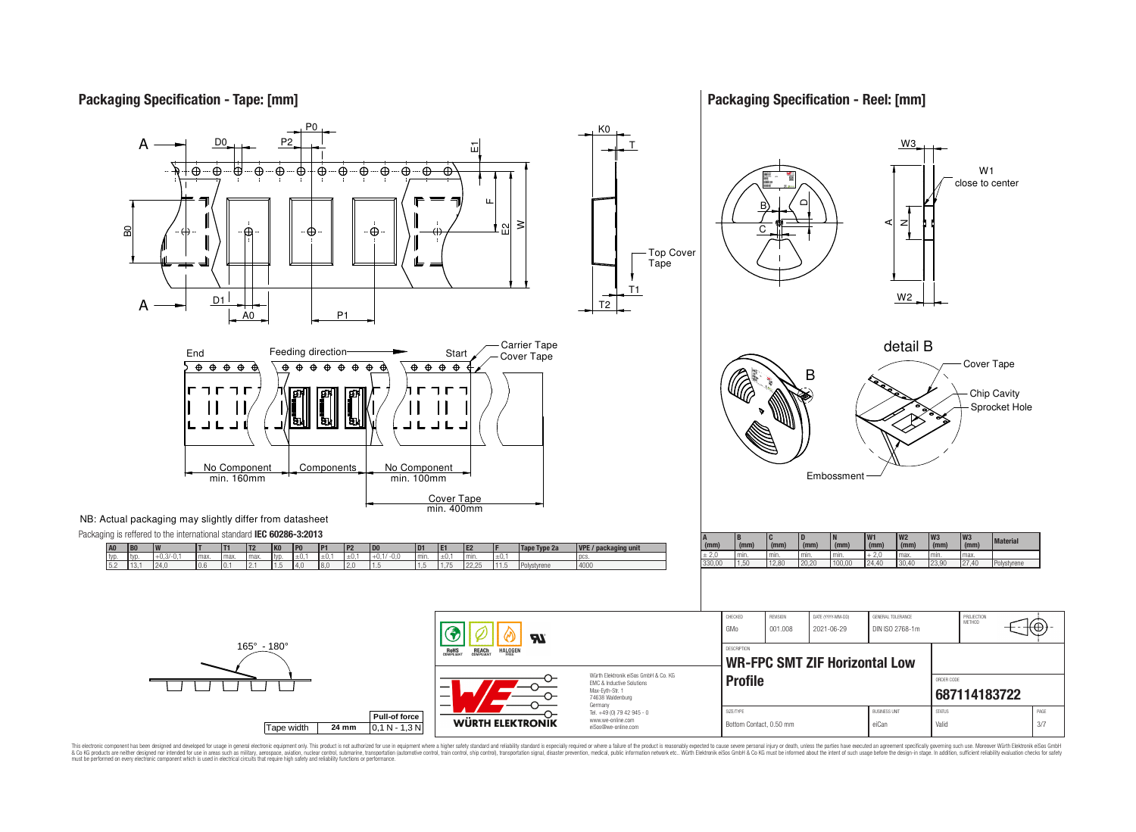## **Packaging Specification - Tape: [mm]**

**Packaging Specification - Reel: [mm]**



This electronic component has been designed and developed for usage in general electronic equipment only. This product is not authorized for use in equipment where a higher safely standard and reliability standard si espec & Ook product a label and the membed of the seasuch as marked and as which such a membed and the such assume that income in the seasuch and the simulation and the such assume that include to the such a membed and the such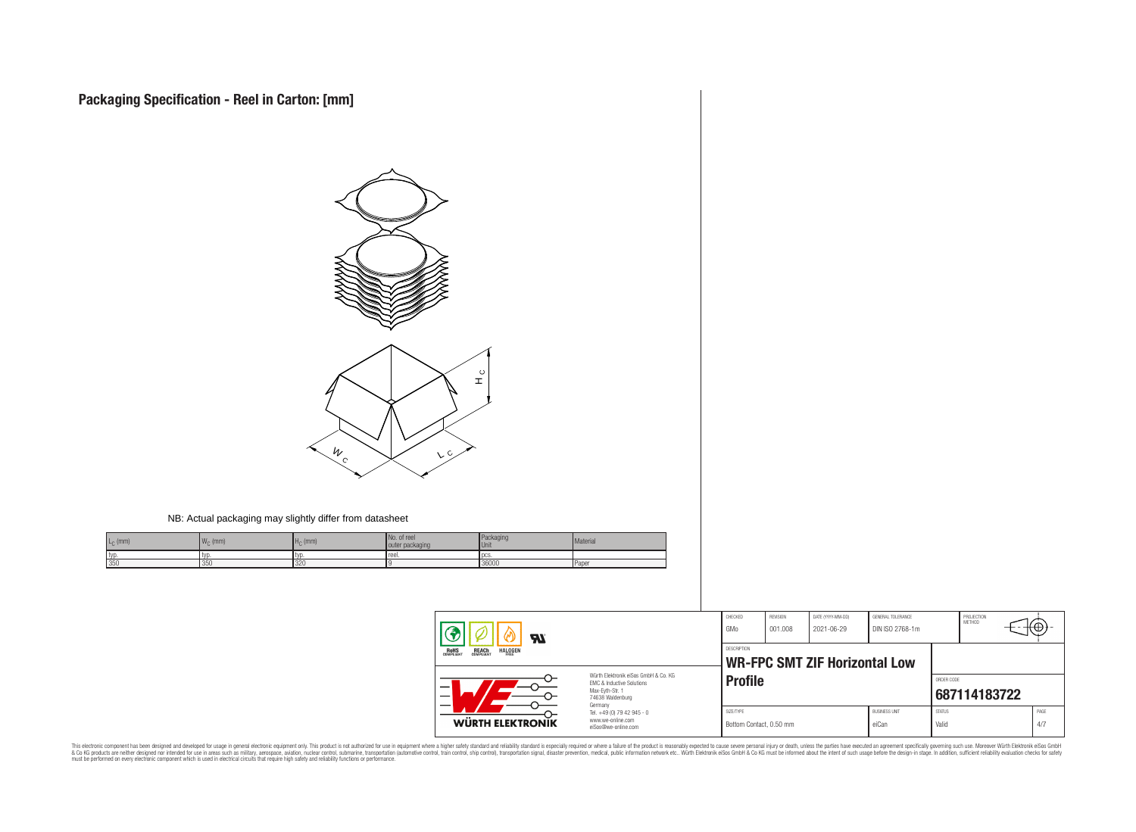

#### NB: Actual packaging may slightly differ from datasheet

| $L_{\odot}$ (mm) | $\overline{M}$<br>$\cdot$ (mm)<br>4 V V O | H <sub>c</sub><br>(mm) | . of reel<br>packaging<br>outer | Packaging<br><b>Unit</b> | Material |
|------------------|-------------------------------------------|------------------------|---------------------------------|--------------------------|----------|
| typ              | typ                                       | .tvr                   | reel.                           | l oc:                    |          |
| 350              | 350                                       | 320                    |                                 | 36000                    | Paper    |

| Яľ<br><b>HALOGEN</b><br>REACH<br>COMPLIANT<br>ROHS<br>COMPLIANT |                                                                                                                     | CHECKED<br>GMo                                      | REVISION<br>001.008 | DATE (YYYY-MM-DD)<br>2021-06-29 | GENERAL TOLERANCE<br>DIN ISO 2768-1m |                        | PROJECTION<br><b>METHOD</b> | ⊦⊕          |  |
|-----------------------------------------------------------------|---------------------------------------------------------------------------------------------------------------------|-----------------------------------------------------|---------------------|---------------------------------|--------------------------------------|------------------------|-----------------------------|-------------|--|
|                                                                 |                                                                                                                     | DESCRIPTION<br><b>WR-FPC SMT ZIF Horizontal Low</b> |                     |                                 |                                      |                        |                             |             |  |
| –                                                               | Würth Elektronik eiSos GmbH & Co. KG<br>EMC & Inductive Solutions<br>Max-Evth-Str. 1<br>74638 Waldenburg<br>Germany | <b>Profile</b>                                      |                     |                                 |                                      |                        | ORDER CODE<br>687114183722  |             |  |
| WÜRTH ELEKTRONIK                                                | Tel. +49 (0) 79 42 945 - 0<br>www.we-online.com<br>eiSos@we-online.com                                              | SIZE/TYPE<br>Bottom Contact, 0.50 mm                |                     |                                 | <b>BUSINESS UNIT</b><br>eiCan        | <b>STATUS</b><br>Valid |                             | PAGE<br>4/7 |  |

This electronic component has been designed and developed for usage in general electronic equipment only. This product is not authorized for subserved requipment where a higher selection equipment where a higher selection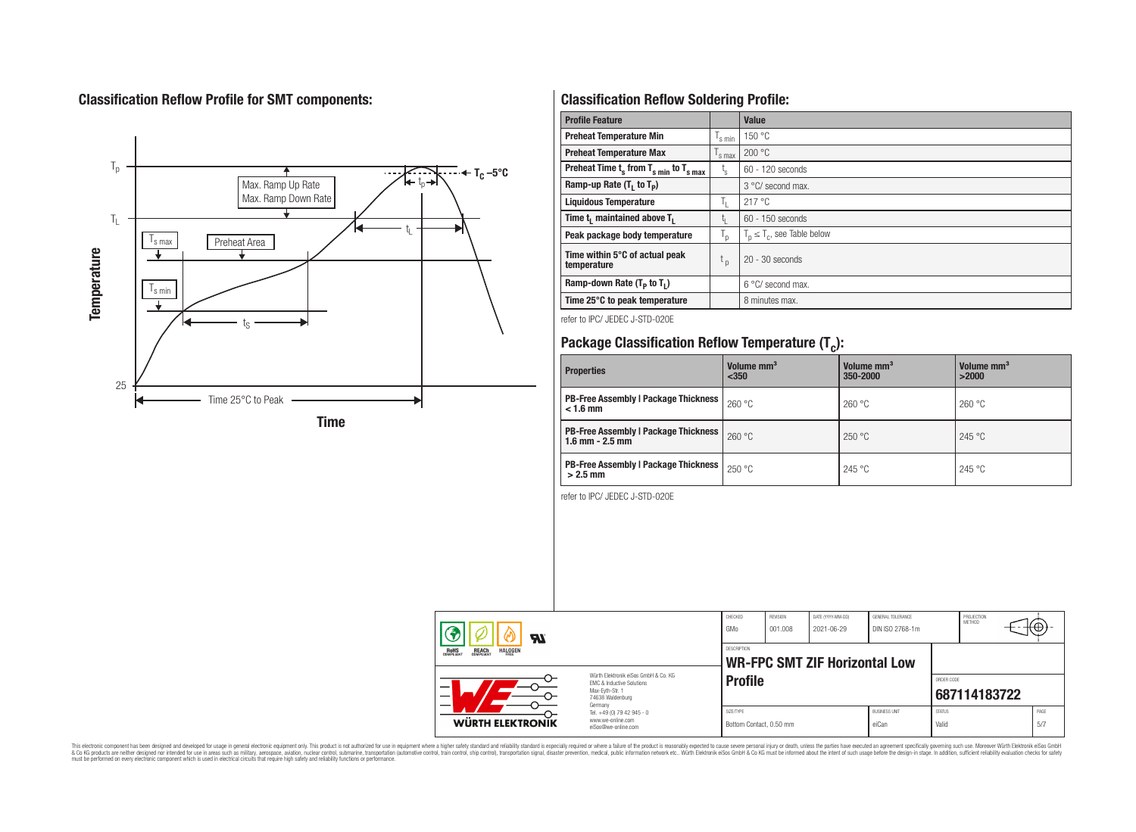## **Classification Reflow Profile for SMT components:**



## **Classification Reflow Soldering Profile:**

| <b>Profile Feature</b>                              |                    | <b>Value</b>                     |
|-----------------------------------------------------|--------------------|----------------------------------|
| <b>Preheat Temperature Min</b>                      | $\frac{1}{s}$ min  | 150 °C                           |
| <b>Preheat Temperature Max</b>                      | $\mathsf{I}$ s max | 200 °C                           |
| Preheat Time $t_s$ from $T_{s min}$ to $T_{s max}$  | t,                 | $60 - 120$ seconds               |
| Ramp-up Rate $(T_1$ to $T_p$ )                      |                    | $3^{\circ}$ C/ second max.       |
| <b>Liquidous Temperature</b>                        | T,                 | 217 °C                           |
| Time t <sub>i</sub> maintained above T <sub>1</sub> | t,                 | 60 - 150 seconds                 |
| Peak package body temperature                       | T <sub>o</sub>     | $T_p \leq T_c$ , see Table below |
| Time within 5°C of actual peak<br>temperature       | $t_{p}$            | $20 - 30$ seconds                |
| Ramp-down Rate $(T_p$ to $T_1$ )                    |                    | $6^{\circ}$ C/ second max.       |
| Time 25°C to peak temperature                       |                    | 8 minutes max.                   |

refer to IPC/ JEDEC J-STD-020E

# **Package Classification Reflow Temperature (T<sup>c</sup> ):**

| <b>Properties</b>                                                    | Volume mm <sup>3</sup><br>$350$ | Volume mm <sup>3</sup><br>350-2000 | Volume mm <sup>3</sup><br>>2000 |
|----------------------------------------------------------------------|---------------------------------|------------------------------------|---------------------------------|
| <b>PB-Free Assembly   Package Thickness  </b><br>$< 1.6$ mm          | 260 °C                          | 260 °C                             | 260 °C                          |
| <b>PB-Free Assembly   Package Thickness  </b><br>$1.6$ mm $- 2.5$ mm | 260 °C                          | 250 °C                             | 245 °C                          |
| <b>PB-Free Assembly   Package Thickness  </b><br>$>2.5$ mm           | 250 °C                          | 245 °C                             | 245 °C                          |

refer to IPC/ JEDEC J-STD-020E

| ЯI<br>REACH<br>COMPLIANT<br><b>HALOGEN</b><br><b>ROHS</b><br>COMPLIANT<br>FRFF |                                                                                                                                | CHECKED<br>GMo                       | <b>REVISION</b><br>001.008           | DATE (YYYY-MM-DD)<br>2021-06-29 | <b>GENERAL TOLERANCE</b><br>DIN ISO 2768-1m |                        | PROJECTION<br><b>METHOD</b> | ₩₩          |  |
|--------------------------------------------------------------------------------|--------------------------------------------------------------------------------------------------------------------------------|--------------------------------------|--------------------------------------|---------------------------------|---------------------------------------------|------------------------|-----------------------------|-------------|--|
|                                                                                |                                                                                                                                | <b>DESCRIPTION</b>                   | <b>WR-FPC SMT ZIF Horizontal Low</b> |                                 |                                             |                        |                             |             |  |
| -<br><b>WÜRTH ELEKTRONIK</b>                                                   | Würth Flektronik eiSos GmbH & Co. KG<br><b>EMC &amp; Inductive Solutions</b><br>Max-Eyth-Str. 1<br>74638 Waldenburg<br>Germany | <b>Profile</b>                       |                                      |                                 |                                             | ORDER CODE             | 687114183722                |             |  |
|                                                                                | Tel. +49 (0) 79 42 945 - 0<br>www.we-online.com<br>eiSos@we-online.com                                                         | SIZE/TYPE<br>Bottom Contact, 0.50 mm |                                      |                                 | <b>BUSINESS UNIT</b><br>eiCan               | <b>STATUS</b><br>Valid |                             | PAGE<br>5/7 |  |

This electronic component has been designed and developed for usage in general electronic equipment only. This product is not authorized for subserved requipment where a higher selection equipment where a higher selection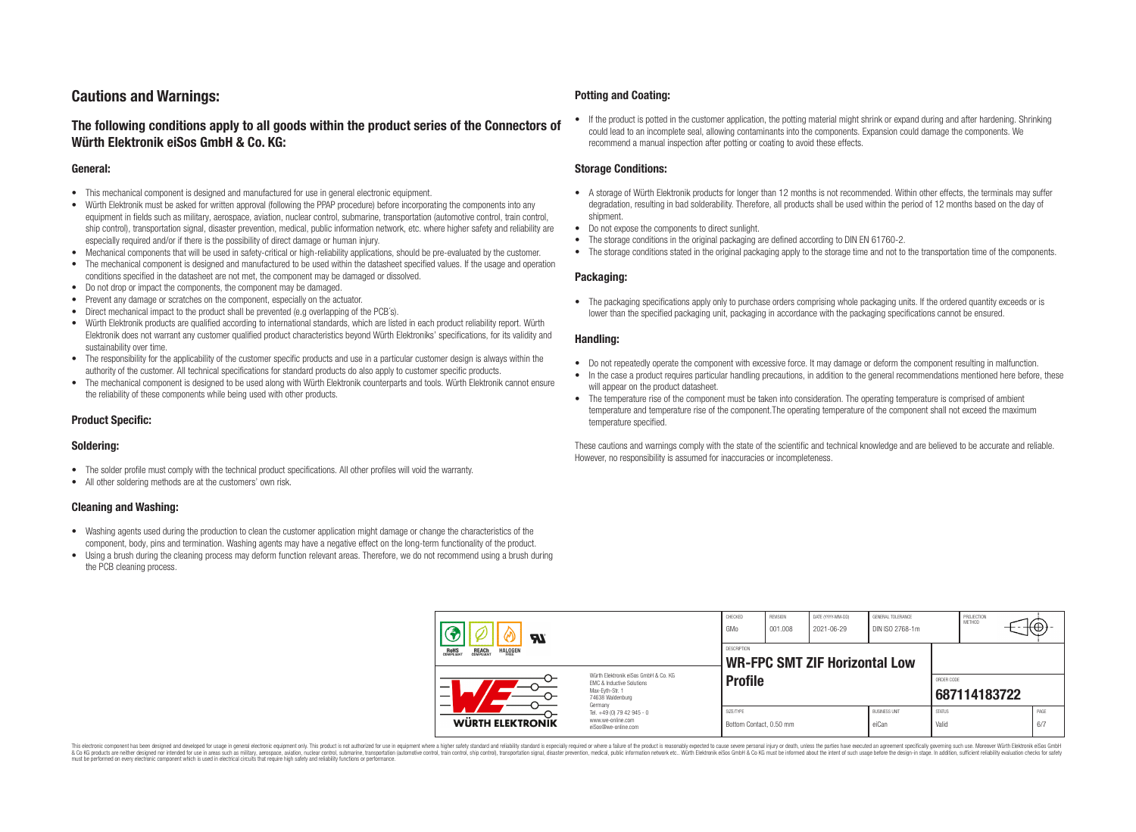## **Cautions and Warnings:**

### **The following conditions apply to all goods within the product series of the Connectors of Würth Elektronik eiSos GmbH & Co. KG:**

#### **General:**

- This mechanical component is designed and manufactured for use in general electronic equipment.
- Würth Elektronik must be asked for written approval (following the PPAP procedure) before incorporating the components into any equipment in fields such as military, aerospace, aviation, nuclear control, submarine, transportation (automotive control, train control, ship control), transportation signal, disaster prevention, medical, public information network, etc. where higher safety and reliability are especially required and/or if there is the possibility of direct damage or human injury.
- Mechanical components that will be used in safety-critical or high-reliability applications, should be pre-evaluated by the customer.
- The mechanical component is designed and manufactured to be used within the datasheet specified values. If the usage and operation conditions specified in the datasheet are not met, the component may be damaged or dissolved.
- Do not drop or impact the components, the component may be damaged.
- Prevent any damage or scratches on the component, especially on the actuator.
- Direct mechanical impact to the product shall be prevented (e.g overlapping of the PCB's).
- Würth Elektronik products are qualified according to international standards, which are listed in each product reliability report. Würth Elektronik does not warrant any customer qualified product characteristics beyond Würth Elektroniks' specifications, for its validity and sustainability over time.
- The responsibility for the applicability of the customer specific products and use in a particular customer design is always within the authority of the customer. All technical specifications for standard products do also apply to customer specific products.
- The mechanical component is designed to be used along with Würth Elektronik counterparts and tools. Würth Elektronik cannot ensure the reliability of these components while being used with other products.

#### **Product Specific:**

#### **Soldering:**

- The solder profile must comply with the technical product specifications. All other profiles will void the warranty.
- All other soldering methods are at the customers' own risk.

#### **Cleaning and Washing:**

- Washing agents used during the production to clean the customer application might damage or change the characteristics of the component, body, pins and termination. Washing agents may have a negative effect on the long-term functionality of the product.
- Using a brush during the cleaning process may deform function relevant areas. Therefore, we do not recommend using a brush during the PCB cleaning process.

#### **Potting and Coating:**

• If the product is potted in the customer application, the potting material might shrink or expand during and after hardening. Shrinking could lead to an incomplete seal, allowing contaminants into the components. Expansion could damage the components. We recommend a manual inspection after potting or coating to avoid these effects.

#### **Storage Conditions:**

- A storage of Würth Elektronik products for longer than 12 months is not recommended. Within other effects, the terminals may suffer degradation, resulting in bad solderability. Therefore, all products shall be used within the period of 12 months based on the day of shipment.
- Do not expose the components to direct sunlight.
- The storage conditions in the original packaging are defined according to DIN EN 61760-2.
- The storage conditions stated in the original packaging apply to the storage time and not to the transportation time of the components.

#### **Packaging:**

• The packaging specifications apply only to purchase orders comprising whole packaging units. If the ordered quantity exceeds or is lower than the specified packaging unit, packaging in accordance with the packaging specifications cannot be ensured.

#### **Handling:**

- Do not repeatedly operate the component with excessive force. It may damage or deform the component resulting in malfunction.
- In the case a product requires particular handling precautions, in addition to the general recommendations mentioned here before, these will appear on the product datasheet
- The temperature rise of the component must be taken into consideration. The operating temperature is comprised of ambient temperature and temperature rise of the component.The operating temperature of the component shall not exceed the maximum temperature specified.

These cautions and warnings comply with the state of the scientific and technical knowledge and are believed to be accurate and reliable. However, no responsibility is assumed for inaccuracies or incompleteness.

| Яľ<br><b>REACH</b><br>COMPLIANT<br><b>HALOGEN</b><br><b>ROHS</b><br>COMPLIANT |                                                                                                                                                                                               | CHECKED<br>GMo                                      | REVISION<br>001.008 | DATE (YYYY-MM-DD)<br>2021-06-29 | GENERAL TOLERANCE<br>DIN ISO 2768-1m |                            | PROJECTION<br><b>METHOD</b> | ₩₩.         |
|-------------------------------------------------------------------------------|-----------------------------------------------------------------------------------------------------------------------------------------------------------------------------------------------|-----------------------------------------------------|---------------------|---------------------------------|--------------------------------------|----------------------------|-----------------------------|-------------|
|                                                                               |                                                                                                                                                                                               | DESCRIPTION<br><b>WR-FPC SMT ZIF Horizontal Low</b> |                     |                                 |                                      |                            |                             |             |
|                                                                               | Würth Flektronik eiSos GmbH & Co. KG<br>FMC & Inductive Solutions<br>Max-Evth-Str. 1<br>74638 Waldenburg<br>Germany<br>Tel. +49 (0) 79 42 945 - 0<br>www.we-online.com<br>eiSos@we-online.com | <b>Profile</b>                                      |                     |                                 |                                      | ORDER CODE<br>687114183722 |                             |             |
| <b>WÜRTH ELEKTRONIK</b>                                                       |                                                                                                                                                                                               | SIZE/TYPE<br>Bottom Contact, 0.50 mm                |                     |                                 | <b>BUSINESS UNIT</b><br>eiCan        | <b>STATUS</b><br>Valid     |                             | PAGE<br>6/7 |

This electronic component has been designed and developed for usage in general electronic equipment only. This product is not authorized for use in equipment where a higher safety standard and reliability standard si espec & Ook product a label and the membed of the seasuch as marked and as which such a membed and the such assume that income in the seasuch and the simulation and the such assume that include to the such a membed and the such